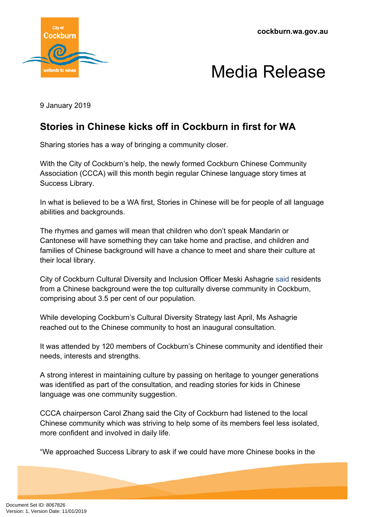



9 January 2019

## **Stories in Chinese kicks off in Cockburn in first for WA**

Sharing stories has a way of bringing a community closer.

With the City of Cockburn's help, the newly formed Cockburn Chinese Community Association (CCCA) will this month begin regular Chinese language story times at Success Library.

In what is believed to be a WA first, Stories in Chinese will be for people of all language abilities and backgrounds.

The rhymes and games will mean that children who don't speak Mandarin or Cantonese will have something they can take home and practise, and children and families of Chinese background will have a chance to meet and share their culture at their local library.

City of Cockburn Cultural Diversity and Inclusion Officer Meski Ashagrie said residents from a Chinese background were the top culturally diverse community in Cockburn, comprising about 3.5 per cent of our population.

While developing Cockburn's Cultural Diversity Strategy last April, Ms Ashagrie reached out to the Chinese community to host an inaugural consultation.

It was attended by 120 members of Cockburn's Chinese community and identified their needs, interests and strengths.

A strong interest in maintaining culture by passing on heritage to younger generations was identified as part of the consultation, and reading stories for kids in Chinese language was one community suggestion.

CCCA chairperson Carol Zhang said the City of Cockburn had listened to the local Chinese community which was striving to help some of its members feel less isolated, more confident and involved in daily life.

"We approached Success Library to ask if we could have more Chinese books in the